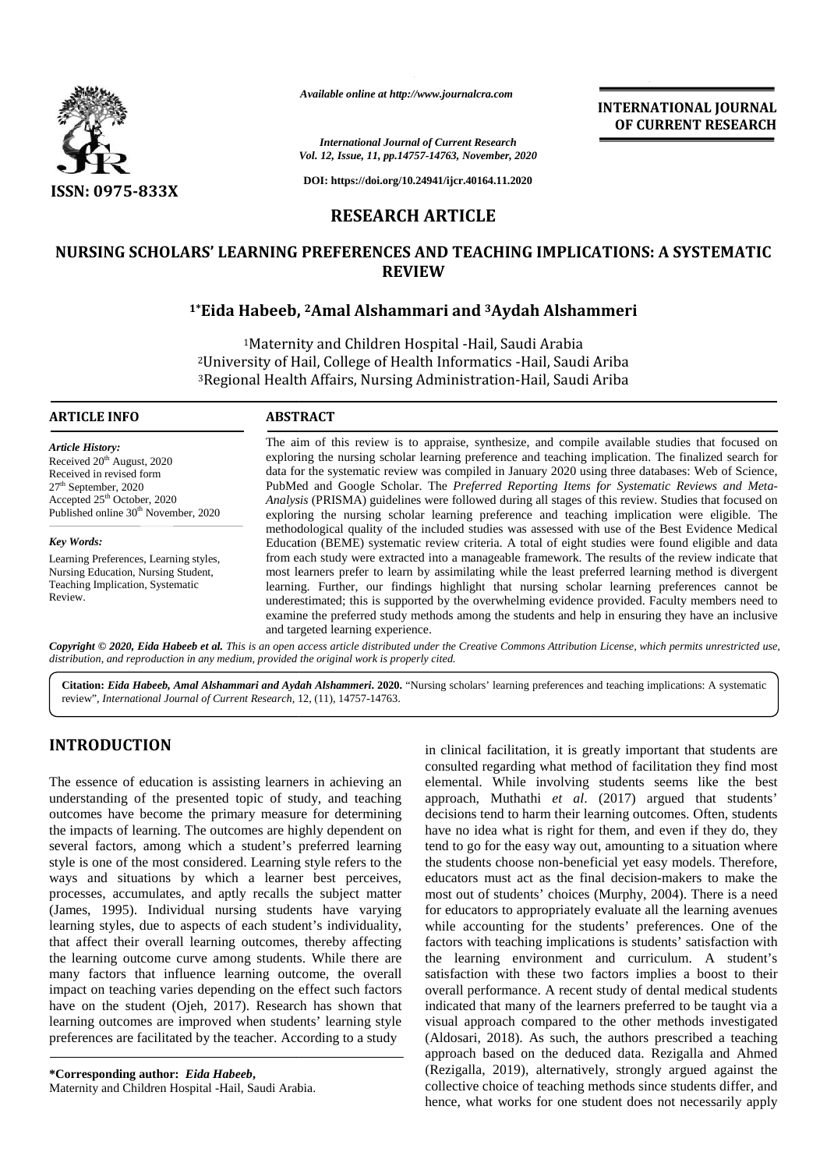

*Available online at http://www.journalcra.com*

**INTERNATIONAL JOURNAL OF CURRENT RESEARCH**

*International Journal of Current Research Vol. 12, Issue, 11, pp.14757-14763, November, 2020*

**DOI: https://doi.org/10.24941/ijcr.40164.11.2020**

# **RESEARCH ARTICLE**

# **NURSING SCHOLARS' LEARNING PREFERENCES AND TEACHING IMPLICATIONS: A SYSTEMATIC<br>REVIEW<br><sup>1\*</sup>Eida Habeeb, <sup>2</sup>Amal Alshammari and <sup>3</sup>Aydah Alshammeri REVIEW**

## **1\*Eida Habeeb, <sup>2</sup>Amal Alshammari and <sup>3</sup>Aydah Alshammeri**

<sup>1</sup>Maternity and Children Hospital -Hail, Saudi Arabia <sup>2</sup>University of Hail, College of Health Informatics -Hail, Saudi Ariba <sup>1</sup>Maternity and Children Hospital -Hail, Saudi Arabia<br><sup>2</sup>University of Hail, College of Health Informatics -Hail, Saudi Ariba<br><sup>3</sup>Regional Health Affairs, Nursing Administration-Hail, Saudi Ariba

#### **ARTICLE INFO ABSTRACT ARTICLE ABSTRACT**

*Article History:* Received 20<sup>th</sup> August, 2020 Received in revised form<br>27<sup>th</sup> September, 2020 27th September, 2020 Accepted 25<sup>th</sup> October, 2020 Accepted 25<sup>th</sup> October, 2020<br>Published online 30<sup>th</sup> November, 2020

*Key Words:* Learning Preferences, Learning styles, Nursing Education, Nursing Student, Teaching Implication, Systematic Review.

The aim of this review is to appraise, synthesize, and compile available studies that focused on exploring the nursing scholar learning preference and teaching implication. The finalized search for data for the systematic review was compiled in January 2020 using three databases: Web of Science, PubMed and Google Scholar. The *Preferred Reporting Items for Systematic Reviews and Meta- Analysis* (PRISMA) guidelines were followed during all stages of this review. Studies that focused on exploring the nursing scholar learning preference and teaching implication were eligible. The methodological quality of the included studies was assessed with use of the Best Evidence Medical Education (BEME) systematic review criteria. A total of eight studies were found eligible and data from each study were extracted into a manageable framework. The results of the review indicate that most learners prefer to learn by assimilating while the least preferred learning method is divergent learning. Further, our findings highlight that nursing scholar learning preferences cannot be learning. Further, our findings highlight that nursing scholar learning preferences cannot be underestimated; this is supported by the overwhelming evidence provided. Faculty members need to examine the preferred study methods among the students and help in ensuring they have an inclusive and targeted learning experience. and data for the systematic review was compiled in January 2020 using three databases: Web of Science, PubMed and Google Scholar. The *Preferred Reporting Items for Systematic Reviews and Meta-Analysis* (PRISMA) guidelines wer *Available online at http://www.journalcra.com*<br> *https://doi.org/10.24941/igr-40164.11.*<br> *https://doi.org/10.24941/igr-40164.11.*<br> **RESEARCH ARTICLE**<br> **RESEARCH ARTICLE**<br> **RESEARCH ARTICLE**<br> **RESEARCH ARTICLE**<br> **RESEARCH** <sup>1</sup>\*Eida Habeeb, <sup>2</sup>Amal Alshammari and<br><sup>1</sup>Maternity and Children Hospital -Ha<br><sup>2</sup>University of Hail, College of Health Inform<br><sup>3</sup>Regional Health Affairs, Nursing Administr<br>**LE INFO**<br>**ABSTRACT**<br>**ABSTRACT**<br>**ABSTRACT**<br>**ABSTR INTERNATIOI**<br> **INTERNATIOI**<br> **IONERERENT CONTRANTION**<br> **IONERERENT CONTRANTION**<br> **IONERERENT CONTRANTION**<br> **IONERERENT ANTICLE**<br> **IONERENT ARTICLE**<br> **EDEARCH ARTICLE**<br> **EDEARCH ARTICLE**<br> **EDEARCH ARTICLE**<br> **EDEARCH ARTIC** 

Copyright © 2020, Eida Habeeb et al. This is an open access article distributed under the Creative Commons Attribution License, which permits unrestricted use, *distribution, and reproduction in any medium, provided the original work is properly cited. distribution,any*

Citation: Eida Habeeb, Amal Alshammari and Aydah Alshammeri. 2020. "Nursing scholars' learning preferences and teaching implications: A systematic review", *International Journal of Current Research*, 12, (11), 14757-14763.

# **INTRODUCTION INTRODUCTION**

The essence of education is assisting learners in achieving an understanding of the presented topic of study, and teaching appro outcomes have become the primary measure for determining the impacts of learning. The outcomes are highly dependent on the impacts of learning. The outcomes are highly dependent on have<br>several factors, among which a student's preferred learning tend style is one of the most considered. Learning style refers to the ways and situations by which a learner best perceives, style is one of the most considered. Learning style refers to the the ways and situations by which a learner best perceives, exprocesses, accumulates, and aptly recalls the subject matter m (James, 1995). Individual nursing students have varying (James, 1995). Individual nursing students have varying learning styles, due to aspects of each student's individuality, that affect their overall learning outcomes, thereby affecting facto the learning outcome curve among students. While there are many factors that influence learning outcome, the overall impact on teaching varies depending on the effect such factors have on the student (Ojeh, 2017). Research has shown that learning outcomes are improved when students' learning style have on the student (Ojeh, 2017). Research has shown that indi-<br>learning outcomes are improved when students' learning style visu-<br>preferences are facilitated by the teacher. According to a study (Alc The essence of education is assisting learners in ach<br>understanding of the presented topic of study, and<br>outcomes have become the primary measure for de the learning outcome curve among students. While there are<br>many factors that influence learning outcome, the overall<br>impact on teaching varies depending on the effect such factors

**\*Corresponding author:** *Eida Habeeb***, \*Corresponding** *Eida* Maternity and Children Hospital -Hail, Saudi Arabia.

in clinical facilitation, it is greatly important that students are consulted regarding what method of facilitation they find most elemental. While involving students seems like the best approach, Muthathi *et al*. (2017) argued that students' decisions tend to harm their learning outcomes. Often, students have no idea what is right for them, and even if they do, they tend to go for the easy way out, amounting to a situation where the students choose non-beneficial yet easy models. Therefore, educators must act as the final decision-makers to make the tend to go for the easy way out, amounting to a situation where<br>the students choose non-beneficial yet easy models. Therefore,<br>educators must act as the final decision-makers to make the<br>most out of students' choices (Murp for educators to appropriately evaluate all the learning avenues while accounting for the students' preferences. One of the factors with teaching implications is students' satisfaction with the learning environment and curriculum. A student's satisfaction with these two factors implies a boost to their overall performance. A recent study of dental medical students indicated that many of the learners preferred to be taught via a visual approach compared to the other methods investigated visual approach compared to the other methods investigated (Aldosari, 2018). As such, the authors prescribed a teaching approach based on the deduced data. Rezigalla and Ahmed (Rezigalla, 2019), alternatively, strongly argued against the collective choice of teaching methods since students differ, and hence, what works for one student does not necessarily apply The essence of education is assisting learners in achieving an consulted regarding what method of facilitation they find most<br>understanding of the presented topic of study, and teaching approach, Muthathi erd al. (2017) ar Inting for the students' preferences. One of the teaching implications is students' satisfaction with g environment and curriculum. A student's tion with these two factors implies a boost to the<br>performance. A recent study of dental medical studen<br>ed that many of the learners preferred to be taught via A<br>
A **A** *Channel Mondel Views of Courses and Conservations*<br> **ABSECIATE ARTICLE**<br> **ABSECIATE ARTICLE**<br> **ABSECIATE ARTICLE**<br> **ABSECIATE ARTICLE**<br> **ABSECIATE ARTICLE**<br> **ABSECIATE ARTICLE**<br> **DESEARCH ARTICLE**<br> **DESEARCH ART**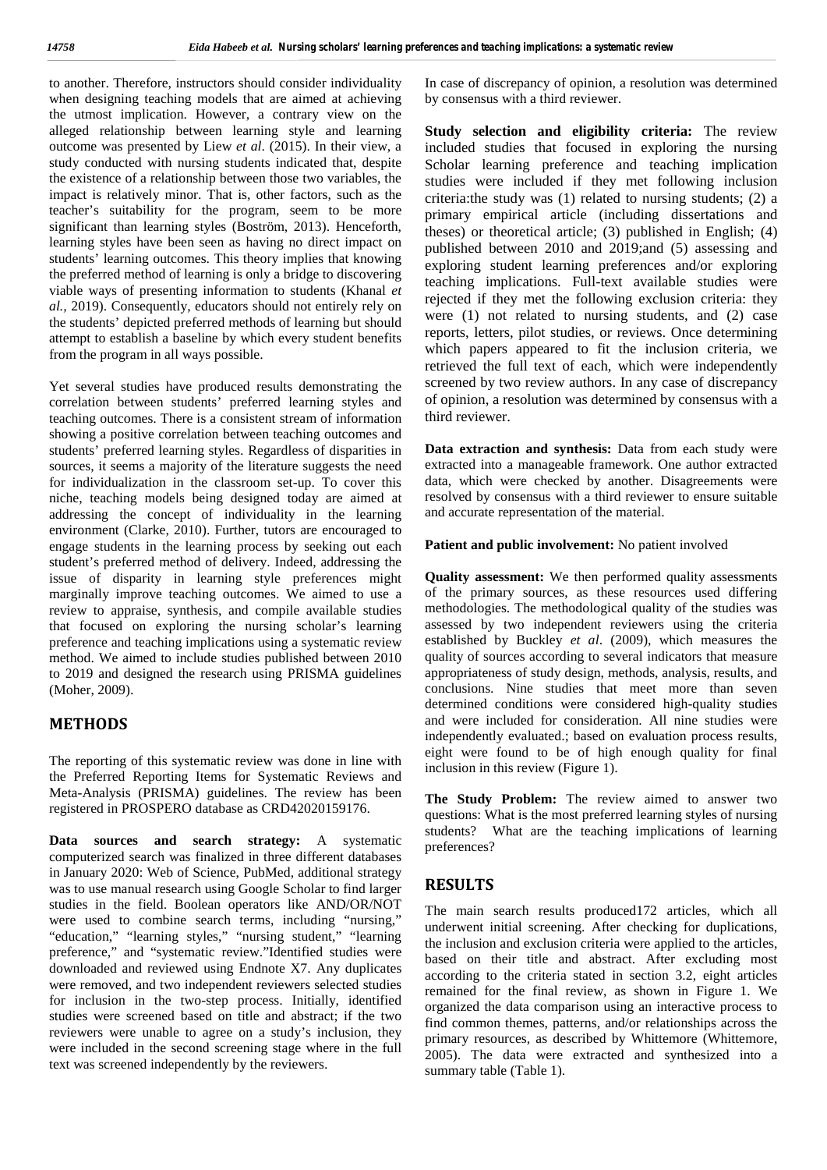to another. Therefore, instructors should consider individuality when designing teaching models that are aimed at achieving the utmost implication. However, a contrary view on the alleged relationship between learning style and learning outcome was presented by Liew *et al*. (2015). In their view, a study conducted with nursing students indicated that, despite the existence of a relationship between those two variables, the impact is relatively minor. That is, other factors, such as the teacher's suitability for the program, seem to be more significant than learning styles (Boström, 2013). Henceforth, learning styles have been seen as having no direct impact on students' learning outcomes. This theory implies that knowing the preferred method of learning is only a bridge to discovering viable ways of presenting information to students (Khanal *et al.,* 2019). Consequently, educators should not entirely rely on the students' depicted preferred methods of learning but should attempt to establish a baseline by which every student benefits from the program in all ways possible.

Yet several studies have produced results demonstrating the correlation between students' preferred learning styles and teaching outcomes. There is a consistent stream of information showing a positive correlation between teaching outcomes and students' preferred learning styles. Regardless of disparities in sources, it seems a majority of the literature suggests the need for individualization in the classroom set-up. To cover this niche, teaching models being designed today are aimed at addressing the concept of individuality in the learning environment (Clarke, 2010). Further, tutors are encouraged to engage students in the learning process by seeking out each student's preferred method of delivery. Indeed, addressing the issue of disparity in learning style preferences might marginally improve teaching outcomes. We aimed to use a review to appraise, synthesis, and compile available studies that focused on exploring the nursing scholar's learning preference and teaching implications using a systematic review method. We aimed to include studies published between 2010 to 2019 and designed the research using PRISMA guidelines (Moher, 2009).

### **METHODS**

The reporting of this systematic review was done in line with the Preferred Reporting Items for Systematic Reviews and Meta-Analysis (PRISMA) guidelines. The review has been registered in PROSPERO database as CRD42020159176.

**Data sources and search strategy:** A systematic computerized search was finalized in three different databases in January 2020: Web of Science, PubMed, additional strategy was to use manual research using Google Scholar to find larger studies in the field. Boolean operators like AND/OR/NOT were used to combine search terms, including "nursing," "education," "learning styles," "nursing student," "learning preference," and "systematic review."Identified studies were downloaded and reviewed using Endnote X7. Any duplicates were removed, and two independent reviewers selected studies for inclusion in the two-step process. Initially, identified studies were screened based on title and abstract; if the two reviewers were unable to agree on a study's inclusion, they were included in the second screening stage where in the full text was screened independently by the reviewers.

In case of discrepancy of opinion, a resolution was determined by consensus with a third reviewer.

**Study selection and eligibility criteria:** The review included studies that focused in exploring the nursing Scholar learning preference and teaching implication studies were included if they met following inclusion criteria:the study was (1) related to nursing students; (2) a primary empirical article (including dissertations and theses) or theoretical article; (3) published in English; (4) published between 2010 and 2019;and (5) assessing and exploring student learning preferences and/or exploring teaching implications. Full-text available studies were rejected if they met the following exclusion criteria: they were (1) not related to nursing students, and (2) case reports, letters, pilot studies, or reviews. Once determining which papers appeared to fit the inclusion criteria, we retrieved the full text of each, which were independently screened by two review authors. In any case of discrepancy of opinion, a resolution was determined by consensus with a third reviewer.

**Data extraction and synthesis:** Data from each study were extracted into a manageable framework. One author extracted data, which were checked by another. Disagreements were resolved by consensus with a third reviewer to ensure suitable and accurate representation of the material.

**Patient and public involvement:** No patient involved

**Quality assessment:** We then performed quality assessments of the primary sources, as these resources used differing methodologies. The methodological quality of the studies was assessed by two independent reviewers using the criteria established by Buckley *et al*. (2009), which measures the quality of sources according to several indicators that measure appropriateness of study design, methods, analysis, results, and conclusions. Nine studies that meet more than seven determined conditions were considered high-quality studies and were included for consideration. All nine studies were independently evaluated.; based on evaluation process results, eight were found to be of high enough quality for final inclusion in this review (Figure 1).

**The Study Problem:** The review aimed to answer two questions: What is the most preferred learning styles of nursing students? What are the teaching implications of learning preferences?

#### **RESULTS**

The main search results produced172 articles, which all underwent initial screening. After checking for duplications, the inclusion and exclusion criteria were applied to the articles, based on their title and abstract. After excluding most according to the criteria stated in section 3.2, eight articles remained for the final review, as shown in Figure 1. We organized the data comparison using an interactive process to find common themes, patterns, and/or relationships across the primary resources, as described by Whittemore (Whittemore, 2005). The data were extracted and synthesized into a summary table (Table 1).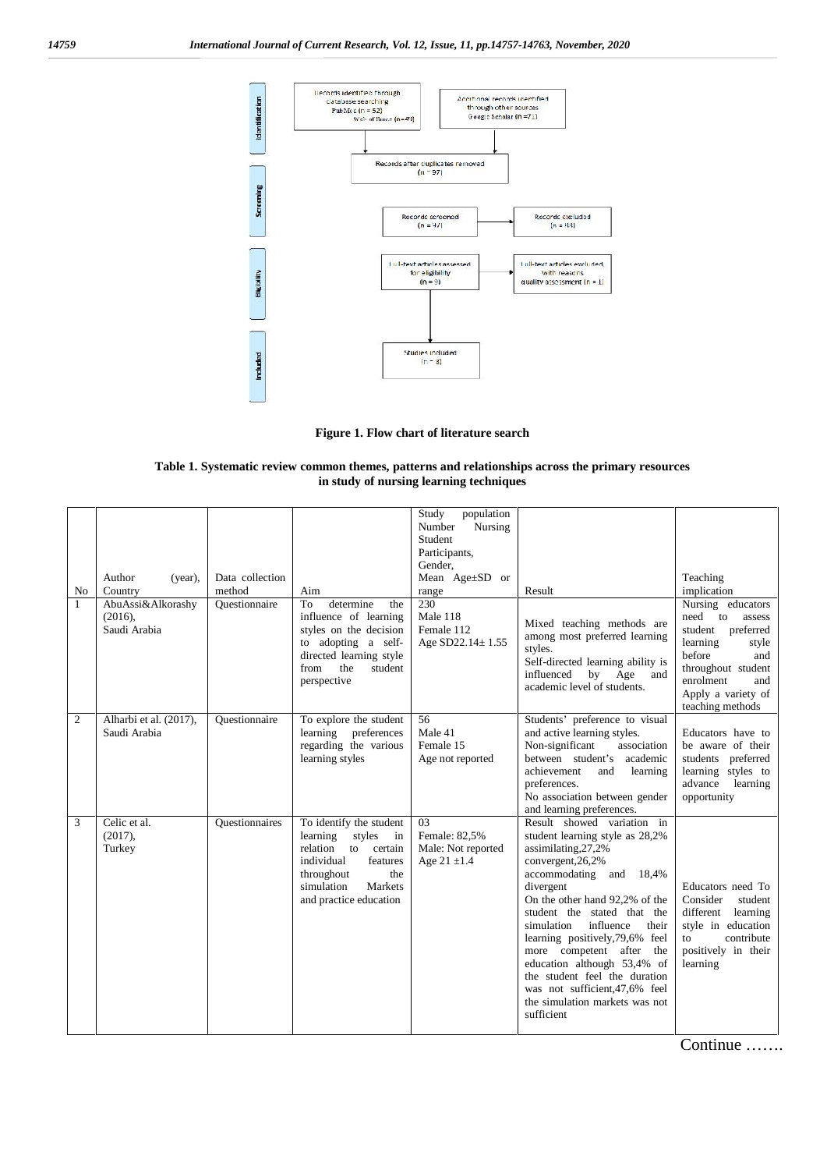

**Figure 1. Flow chart of literature search**

#### **Table 1. Systematic review common themes, patterns and relationships across the primary resources in study of nursing learning techniques**

| No<br>1 | Author<br>(year),<br>Country<br>AbuAssi&Alkorashy<br>(2016),<br>Saudi Arabia | Data collection<br>method<br>Ouestionnaire | Aim<br>determine<br>To<br>the<br>influence of learning<br>styles on the decision<br>to adopting a self-<br>directed learning style<br>the<br>student<br>from<br>perspective         | population<br>Study<br>Nursing<br>Number<br>Student<br>Participants,<br>Gender,<br>Mean Age±SD or<br>range<br>230<br>Male 118<br>Female 112<br>Age SD22.14±1.55 | Result<br>Mixed teaching methods are<br>among most preferred learning<br>styles.<br>Self-directed learning ability is<br>influenced<br>by Age<br>and<br>academic level of students.                                                                                                                                                                                                                                                                                          | Teaching<br>implication<br>Nursing educators<br>need to<br>assess<br>student preferred<br>learning<br>style<br>before<br>and<br>throughout student<br>enrolment<br>and<br>Apply a variety of<br>teaching methods |
|---------|------------------------------------------------------------------------------|--------------------------------------------|-------------------------------------------------------------------------------------------------------------------------------------------------------------------------------------|-----------------------------------------------------------------------------------------------------------------------------------------------------------------|------------------------------------------------------------------------------------------------------------------------------------------------------------------------------------------------------------------------------------------------------------------------------------------------------------------------------------------------------------------------------------------------------------------------------------------------------------------------------|------------------------------------------------------------------------------------------------------------------------------------------------------------------------------------------------------------------|
| 2       | Alharbi et al. (2017),<br>Saudi Arabia                                       | Ouestionnaire                              | To explore the student<br>learning<br>preferences<br>regarding the various<br>learning styles                                                                                       | 56<br>Male 41<br>Female 15<br>Age not reported                                                                                                                  | Students' preference to visual<br>and active learning styles.<br>Non-significant<br>association<br>between student's academic<br>achievement<br>and<br>learning<br>preferences.<br>No association between gender<br>and learning preferences.                                                                                                                                                                                                                                | Educators have to<br>be aware of their<br>students preferred<br>learning styles to<br>advance<br>learning<br>opportunity                                                                                         |
| 3       | Celic et al.<br>(2017),<br>Turkey                                            | <b>Ouestionnaires</b>                      | To identify the student<br>learning<br>styles<br>$\sin$<br>relation<br>to certain<br>individual<br>features<br>throughout<br>the<br>simulation<br>Markets<br>and practice education | 0 <sub>3</sub><br>Female: 82,5%<br>Male: Not reported<br>Age $21 \pm 1.4$                                                                                       | Result showed variation in<br>student learning style as 28,2%<br>assimilating, 27, 2%<br>convergent, 26, 2%<br>accommodating and 18,4%<br>divergent<br>On the other hand 92,2% of the<br>student the stated that the<br>simulation<br>influence<br>their<br>learning positively, 79,6% feel<br>more competent after<br>the<br>education although 53,4% of<br>the student feel the duration<br>was not sufficient, 47,6% feel<br>the simulation markets was not<br>sufficient | Educators need To<br>Consider<br>student<br>different<br>learning<br>style in education<br>contribute<br>to<br>positively in their<br>learning                                                                   |

Continue …….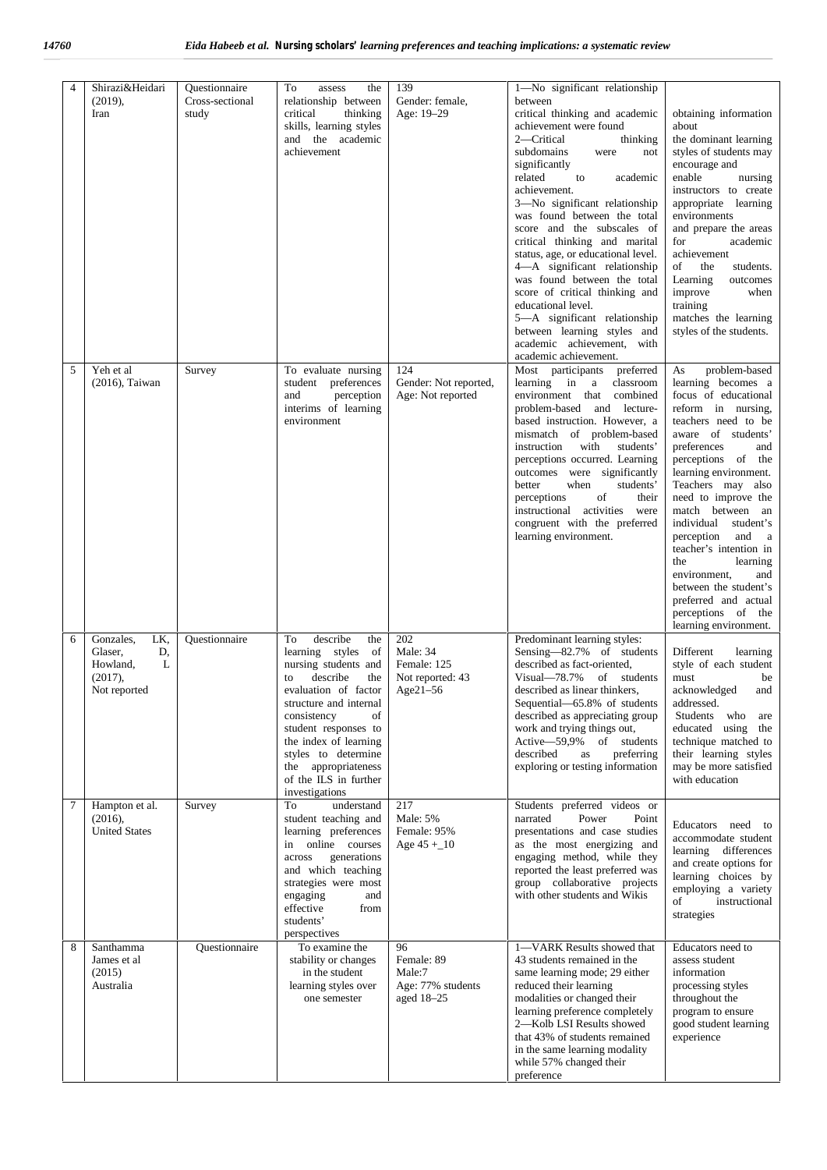| 4 | Shirazi&Heidari<br>(2019),<br>Iran                                            | Questionnaire<br>Cross-sectional<br>study | To<br>assess<br>the<br>relationship between<br>critical<br>thinking<br>skills, learning styles<br>and the academic<br>achievement                                                                                                                                                                                | 139<br>Gender: female,<br>Age: 19-29                           | 1-No significant relationship<br>between<br>critical thinking and academic<br>achievement were found<br>2-Critical<br>thinking<br>subdomains<br>were<br>not<br>significantly<br>related<br>to<br>academic<br>achievement.<br>3-No significant relationship<br>was found between the total<br>score and the subscales of<br>critical thinking and marital<br>status, age, or educational level.<br>4-A significant relationship<br>was found between the total<br>score of critical thinking and<br>educational level.<br>5-A significant relationship<br>between learning styles and<br>academic achievement, with<br>academic achievement. | obtaining information<br>about<br>the dominant learning<br>styles of students may<br>encourage and<br>enable<br>nursing<br>instructors to create<br>appropriate learning<br>environments<br>and prepare the areas<br>for<br>academic<br>achievement<br>of<br>the<br>students.<br>Learning<br>outcomes<br>improve<br>when<br>training<br>matches the learning<br>styles of the students.                                                                                                         |
|---|-------------------------------------------------------------------------------|-------------------------------------------|------------------------------------------------------------------------------------------------------------------------------------------------------------------------------------------------------------------------------------------------------------------------------------------------------------------|----------------------------------------------------------------|---------------------------------------------------------------------------------------------------------------------------------------------------------------------------------------------------------------------------------------------------------------------------------------------------------------------------------------------------------------------------------------------------------------------------------------------------------------------------------------------------------------------------------------------------------------------------------------------------------------------------------------------|-------------------------------------------------------------------------------------------------------------------------------------------------------------------------------------------------------------------------------------------------------------------------------------------------------------------------------------------------------------------------------------------------------------------------------------------------------------------------------------------------|
| 5 | Yeh et al<br>(2016), Taiwan                                                   | Survey                                    | To evaluate nursing<br>student preferences<br>and<br>perception<br>interims of learning<br>environment                                                                                                                                                                                                           | 124<br>Gender: Not reported,<br>Age: Not reported              | Most participants preferred<br>learning in a<br>classroom<br>environment that combined<br>problem-based and lecture-<br>based instruction. However, a<br>mismatch of problem-based<br>instruction<br>with<br>students'<br>perceptions occurred. Learning<br>outcomes were significantly<br>better<br>when<br>students'<br>of<br>perceptions<br>their<br>instructional activities were<br>congruent with the preferred<br>learning environment.                                                                                                                                                                                              | problem-based<br>As<br>learning becomes a<br>focus of educational<br>reform in nursing,<br>teachers need to be<br>aware of students'<br>preferences<br>and<br>perceptions of the<br>learning environment.<br>Teachers may also<br>need to improve the<br>match between an<br>individual<br>student's<br>perception<br>and a<br>teacher's intention in<br>learning<br>the<br>environment.<br>and<br>between the student's<br>preferred and actual<br>perceptions of the<br>learning environment. |
| 6 | Gonzales,<br>LK,<br>Glaser,<br>D,<br>Howland,<br>L<br>(2017),<br>Not reported | Questionnaire                             | describe<br>To<br>the<br>learning styles<br>of<br>nursing students and<br>describe<br>the<br>to<br>evaluation of factor<br>structure and internal<br>consistency<br>of<br>student responses to<br>the index of learning<br>styles to determine<br>the appropriateness<br>of the ILS in further<br>investigations | 202<br>Male: 34<br>Female: 125<br>Not reported: 43<br>Age21-56 | Predominant learning styles:<br>Sensing-82.7% of students<br>described as fact-oriented,<br>Visual-78.7% of students<br>described as linear thinkers,<br>Sequential-65.8% of students<br>described as appreciating group<br>work and trying things out,<br>Active-59,9%<br>of students<br>described<br>preferring<br>as<br>exploring or testing information                                                                                                                                                                                                                                                                                 | Different<br>learning<br>style of each student<br>must<br>be<br>acknowledged<br>and<br>addressed.<br>Students<br>who<br>are<br>educated using the<br>technique matched to<br>their learning styles<br>may be more satisfied<br>with education                                                                                                                                                                                                                                                   |
| 7 | Hampton et al.<br>(2016),<br><b>United States</b>                             | Survey                                    | understand<br>To<br>student teaching and<br>learning preferences<br>online courses<br>in<br>generations<br>across<br>and which teaching<br>strategies were most<br>engaging<br>and<br>effective<br>from<br>students'<br>perspectives                                                                             | 217<br>Male: 5%<br>Female: 95%<br>Age $45 + 10$                | Students preferred videos or<br>narrated<br>Power<br>Point<br>presentations and case studies<br>as the most energizing and<br>engaging method, while they<br>reported the least preferred was<br>group collaborative projects<br>with other students and Wikis                                                                                                                                                                                                                                                                                                                                                                              | Educators need to<br>accommodate student<br>learning differences<br>and create options for<br>learning choices by<br>employing a variety<br>of<br>instructional<br>strategies                                                                                                                                                                                                                                                                                                                   |
| 8 | Santhamma<br>James et al<br>(2015)<br>Australia                               | Questionnaire                             | To examine the<br>stability or changes<br>in the student<br>learning styles over<br>one semester                                                                                                                                                                                                                 | 96<br>Female: 89<br>Male:7<br>Age: 77% students<br>aged 18-25  | 1-VARK Results showed that<br>43 students remained in the<br>same learning mode; 29 either<br>reduced their learning<br>modalities or changed their<br>learning preference completely<br>2-Kolb LSI Results showed<br>that 43% of students remained<br>in the same learning modality<br>while 57% changed their<br>preference                                                                                                                                                                                                                                                                                                               | Educators need to<br>assess student<br>information<br>processing styles<br>throughout the<br>program to ensure<br>good student learning<br>experience                                                                                                                                                                                                                                                                                                                                           |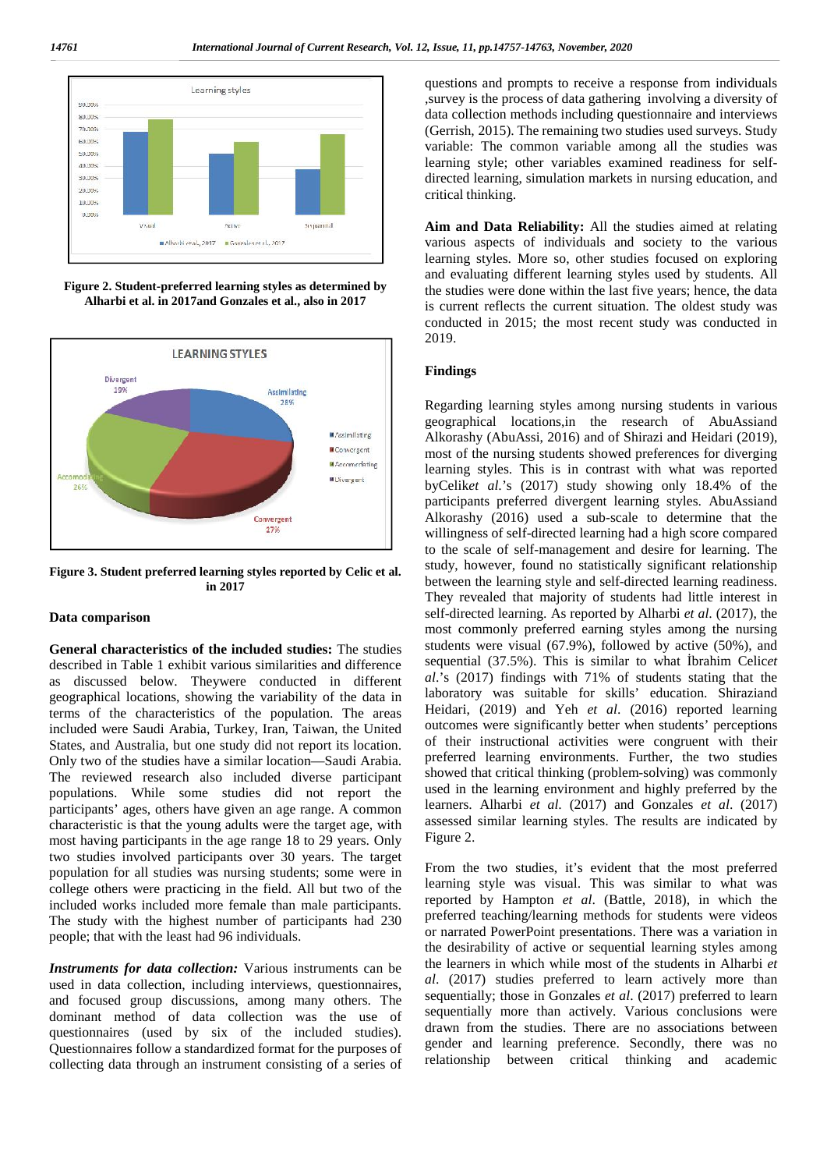

**Figure 2. Student-preferred learning styles as determined by Alharbi et al. in 2017and Gonzales et al., also in 2017**



**Figure 3. Student preferred learning styles reported by Celic et al. in 2017**

#### **Data comparison**

**General characteristics of the included studies:** The studies described in Table 1 exhibit various similarities and difference as discussed below. Theywere conducted in different geographical locations, showing the variability of the data in terms of the characteristics of the population. The areas included were Saudi Arabia, Turkey, Iran, Taiwan, the United States, and Australia, but one study did not report its location. Only two of the studies have a similar location—Saudi Arabia. The reviewed research also included diverse participant populations. While some studies did not report the participants' ages, others have given an age range. A common characteristic is that the young adults were the target age, with most having participants in the age range 18 to 29 years. Only two studies involved participants over 30 years. The target population for all studies was nursing students; some were in college others were practicing in the field. All but two of the included works included more female than male participants. The study with the highest number of participants had 230 people; that with the least had 96 individuals.

*Instruments for data collection:* Various instruments can be used in data collection, including interviews, questionnaires, and focused group discussions, among many others. The dominant method of data collection was the use of questionnaires (used by six of the included studies). Questionnaires follow a standardized format for the purposes of collecting data through an instrument consisting of a series of questions and prompts to receive a response from individuals ,survey is the process of data gathering involving a diversity of data collection methods including questionnaire and interviews (Gerrish, 2015). The remaining two studies used surveys. Study variable: The common variable among all the studies was learning style; other variables examined readiness for self directed learning, simulation markets in nursing education, and critical thinking.

Aim and Data Reliability: All the studies aimed at relating various aspects of individuals and society to the various learning styles. More so, other studies focused on exploring and evaluating different learning styles used by students. All the studies were done within the last five years; hence, the data is current reflects the current situation. The oldest study was conducted in 2015; the most recent study was conducted in 2019.

#### **Findings**

Regarding learning styles among nursing students in various geographical locations,in the research of AbuAssiand Alkorashy (AbuAssi, 2016) and of Shirazi and Heidari (2019), most of the nursing students showed preferences for diverging learning styles. This is in contrast with what was reported byCelik*et al*.'s (2017) study showing only 18.4% of the participants preferred divergent learning styles. AbuAssiand Alkorashy (2016) used a sub-scale to determine that the willingness of self-directed learning had a high score compared to the scale of self-management and desire for learning. The study, however, found no statistically significant relationship between the learning style and self-directed learning readiness. They revealed that majority of students had little interest in self-directed learning. As reported by Alharbi *et al*. (2017), the most commonly preferred earning styles among the nursing students were visual (67.9%), followed by active (50%), and sequential (37.5%). This is similar to what brahim Celicet *al*.'s (2017) findings with 71% of students stating that the laboratory was suitable for skills' education. Shiraziand Heidari, (2019) and Yeh *et al*. (2016) reported learning outcomes were significantly better when students' perceptions of their instructional activities were congruent with their preferred learning environments. Further, the two studies showed that critical thinking (problem-solving) was commonly used in the learning environment and highly preferred by the learners. Alharbi *et al*. (2017) and Gonzales *et al*. (2017) assessed similar learning styles. The results are indicated by Figure 2.

From the two studies, it's evident that the most preferred learning style was visual. This was similar to what was reported by Hampton *et al*. (Battle, 2018), in which the preferred teaching/learning methods for students were videos or narrated PowerPoint presentations. There was a variation in the desirability of active or sequential learning styles among the learners in which while most of the students in Alharbi *et al*. (2017) studies preferred to learn actively more than sequentially; those in Gonzales *et al*. (2017) preferred to learn sequentially more than actively. Various conclusions were drawn from the studies. There are no associations between gender and learning preference. Secondly, there was no relationship between critical thinking and academic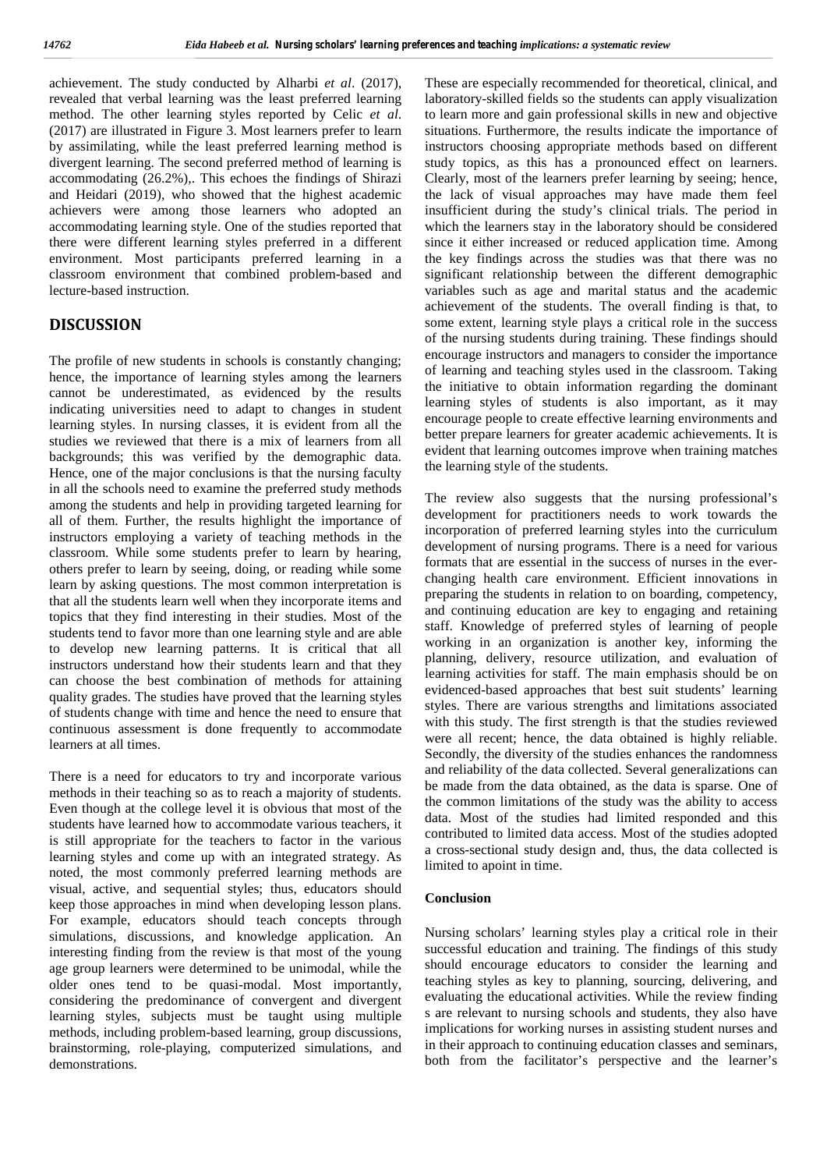achievement. The study conducted by Alharbi *et al*. (2017), revealed that verbal learning was the least preferred learning method. The other learning styles reported by Celic *et al*. (2017) are illustrated in Figure 3. Most learners prefer to learn by assimilating, while the least preferred learning method is divergent learning. The second preferred method of learning is accommodating (26.2%),. This echoes the findings of Shirazi and Heidari (2019), who showed that the highest academic achievers were among those learners who adopted an accommodating learning style. One of the studies reported that there were different learning styles preferred in a different environment. Most participants preferred learning in a classroom environment that combined problem-based and lecture-based instruction.

# **DISCUSSION**

The profile of new students in schools is constantly changing; hence, the importance of learning styles among the learners cannot be underestimated, as evidenced by the results indicating universities need to adapt to changes in student learning styles. In nursing classes, it is evident from all the studies we reviewed that there is a mix of learners from all backgrounds; this was verified by the demographic data. Hence, one of the major conclusions is that the nursing faculty in all the schools need to examine the preferred study methods among the students and help in providing targeted learning for all of them. Further, the results highlight the importance of instructors employing a variety of teaching methods in the classroom. While some students prefer to learn by hearing, others prefer to learn by seeing, doing, or reading while some learn by asking questions. The most common interpretation is that all the students learn well when they incorporate items and topics that they find interesting in their studies. Most of the students tend to favor more than one learning style and are able to develop new learning patterns. It is critical that all instructors understand how their students learn and that they can choose the best combination of methods for attaining quality grades. The studies have proved that the learning styles of students change with time and hence the need to ensure that continuous assessment is done frequently to accommodate learners at all times.

There is a need for educators to try and incorporate various methods in their teaching so as to reach a majority of students. Even though at the college level it is obvious that most of the students have learned how to accommodate various teachers, it is still appropriate for the teachers to factor in the various learning styles and come up with an integrated strategy. As noted, the most commonly preferred learning methods are visual, active, and sequential styles; thus, educators should keep those approaches in mind when developing lesson plans. For example, educators should teach concepts through simulations, discussions, and knowledge application. An interesting finding from the review is that most of the young age group learners were determined to be unimodal, while the older ones tend to be quasi-modal. Most importantly, considering the predominance of convergent and divergent learning styles, subjects must be taught using multiple methods, including problem-based learning, group discussions, brainstorming, role-playing, computerized simulations, and demonstrations.

These are especially recommended for theoretical, clinical, and laboratory-skilled fields so the students can apply visualization to learn more and gain professional skills in new and objective situations. Furthermore, the results indicate the importance of instructors choosing appropriate methods based on different study topics, as this has a pronounced effect on learners. Clearly, most of the learners prefer learning by seeing; hence, the lack of visual approaches may have made them feel insufficient during the study's clinical trials. The period in which the learners stay in the laboratory should be considered since it either increased or reduced application time. Among the key findings across the studies was that there was no significant relationship between the different demographic variables such as age and marital status and the academic achievement of the students. The overall finding is that, to some extent, learning style plays a critical role in the success of the nursing students during training. These findings should encourage instructors and managers to consider the importance of learning and teaching styles used in the classroom. Taking the initiative to obtain information regarding the dominant learning styles of students is also important, as it may encourage people to create effective learning environments and better prepare learners for greater academic achievements. It is evident that learning outcomes improve when training matches the learning style of the students.

The review also suggests that the nursing professional's development for practitioners needs to work towards the incorporation of preferred learning styles into the curriculum development of nursing programs. There is a need for various formats that are essential in the success of nurses in the ever changing health care environment. Efficient innovations in preparing the students in relation to on boarding, competency, and continuing education are key to engaging and retaining staff. Knowledge of preferred styles of learning of people working in an organization is another key, informing the planning, delivery, resource utilization, and evaluation of learning activities for staff. The main emphasis should be on evidenced-based approaches that best suit students' learning styles. There are various strengths and limitations associated with this study. The first strength is that the studies reviewed were all recent; hence, the data obtained is highly reliable. Secondly, the diversity of the studies enhances the randomness and reliability of the data collected. Several generalizations can be made from the data obtained, as the data is sparse. One of the common limitations of the study was the ability to access data. Most of the studies had limited responded and this contributed to limited data access. Most of the studies adopted a cross-sectional study design and, thus, the data collected is limited to apoint in time.

#### **Conclusion**

Nursing scholars' learning styles play a critical role in their successful education and training. The findings of this study should encourage educators to consider the learning and teaching styles as key to planning, sourcing, delivering, and evaluating the educational activities. While the review finding s are relevant to nursing schools and students, they also have implications for working nurses in assisting student nurses and in their approach to continuing education classes and seminars, both from the facilitator's perspective and the learner's